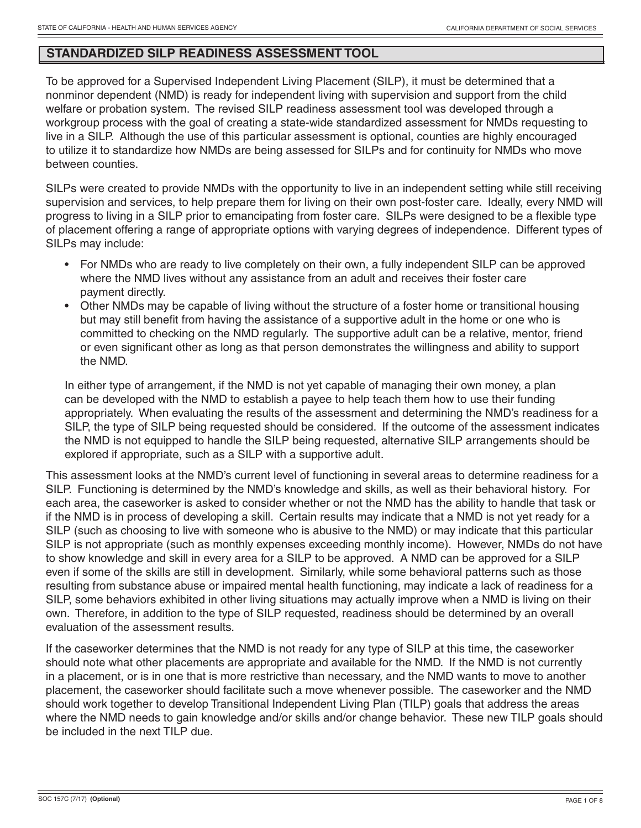## **STANDARDIZED SILP READINESS ASSESSMENT TOOL**

To be approved for a Supervised Independent Living Placement (SILP), it must be determined that a nonminor dependent (NMD) is ready for independent living with supervision and support from the child welfare or probation system. The revised SILP readiness assessment tool was developed through a workgroup process with the goal of creating a state-wide standardized assessment for NMDs requesting to live in a SILP. Although the use of this particular assessment is optional, counties are highly encouraged to utilize it to standardize how NMDs are being assessed for SILPs and for continuity for NMDs who move between counties.

SILPs were created to provide NMDs with the opportunity to live in an independent setting while still receiving supervision and services, to help prepare them for living on their own post-foster care. Ideally, every NMD will progress to living in a SILP prior to emancipating from foster care. SILPs were designed to be a flexible type of placement offering a range of appropriate options with varying degrees of independence. Different types of SILPs may include:

- For NMDs who are ready to live completely on their own, a fully independent SILP can be approved where the NMD lives without any assistance from an adult and receives their foster care payment directly.
- Other NMDs may be capable of living without the structure of a foster home or transitional housing but may still benefit from having the assistance of a supportive adult in the home or one who is committed to checking on the NMD regularly. The supportive adult can be a relative, mentor, friend or even significant other as long as that person demonstrates the willingness and ability to support the NMD.

In either type of arrangement, if the NMD is not yet capable of managing their own money, a plan can be developed with the NMD to establish a payee to help teach them how to use their funding appropriately. When evaluating the results of the assessment and determining the NMD's readiness for a SILP, the type of SILP being requested should be considered. If the outcome of the assessment indicates the NMD is not equipped to handle the SILP being requested, alternative SILP arrangements should be explored if appropriate, such as a SILP with a supportive adult.

This assessment looks at the NMD's current level of functioning in several areas to determine readiness for a SILP. Functioning is determined by the NMD's knowledge and skills, as well as their behavioral history. For each area, the caseworker is asked to consider whether or not the NMD has the ability to handle that task or if the NMD is in process of developing a skill. Certain results may indicate that a NMD is not yet ready for a SILP (such as choosing to live with someone who is abusive to the NMD) or may indicate that this particular SILP is not appropriate (such as monthly expenses exceeding monthly income). However, NMDs do not have to show knowledge and skill in every area for a SILP to be approved. A NMD can be approved for a SILP even if some of the skills are still in development. Similarly, while some behavioral patterns such as those resulting from substance abuse or impaired mental health functioning, may indicate a lack of readiness for a SILP, some behaviors exhibited in other living situations may actually improve when a NMD is living on their own. Therefore, in addition to the type of SILP requested, readiness should be determined by an overall evaluation of the assessment results.

If the caseworker determines that the NMD is not ready for any type of SILP at this time, the caseworker should note what other placements are appropriate and available for the NMD. If the NMD is not currently in a placement, or is in one that is more restrictive than necessary, and the NMD wants to move to another placement, the caseworker should facilitate such a move whenever possible. The caseworker and the NMD should work together to develop Transitional Independent Living Plan (TILP) goals that address the areas where the NMD needs to gain knowledge and/or skills and/or change behavior. These new TILP goals should be included in the next TILP due.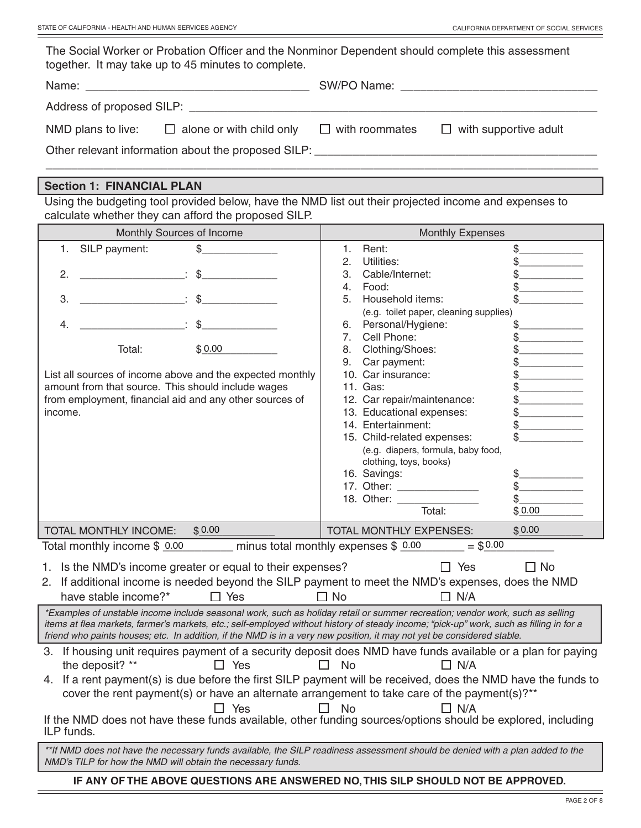| The Social Worker or Probation Officer and the Nonminor Dependent should complete this assessment<br>together. It may take up to 45 minutes to complete.                                                                                                                                                                                                                                                                                                                                 |                                                                   |  |  |
|------------------------------------------------------------------------------------------------------------------------------------------------------------------------------------------------------------------------------------------------------------------------------------------------------------------------------------------------------------------------------------------------------------------------------------------------------------------------------------------|-------------------------------------------------------------------|--|--|
|                                                                                                                                                                                                                                                                                                                                                                                                                                                                                          |                                                                   |  |  |
|                                                                                                                                                                                                                                                                                                                                                                                                                                                                                          |                                                                   |  |  |
| NMD plans to live: $\Box$ alone or with child only $\Box$ with roommates $\Box$ with supportive adult                                                                                                                                                                                                                                                                                                                                                                                    |                                                                   |  |  |
|                                                                                                                                                                                                                                                                                                                                                                                                                                                                                          |                                                                   |  |  |
| <b>Section 1: FINANCIAL PLAN</b>                                                                                                                                                                                                                                                                                                                                                                                                                                                         |                                                                   |  |  |
| Using the budgeting tool provided below, have the NMD list out their projected income and expenses to<br>calculate whether they can afford the proposed SILP.                                                                                                                                                                                                                                                                                                                            |                                                                   |  |  |
| Monthly Sources of Income                                                                                                                                                                                                                                                                                                                                                                                                                                                                | <b>Monthly Expenses</b>                                           |  |  |
| $\begin{picture}(20,20) \put(0,0){\vector(1,0){100}} \put(15,0){\vector(1,0){100}} \put(15,0){\vector(1,0){100}} \put(15,0){\vector(1,0){100}} \put(15,0){\vector(1,0){100}} \put(15,0){\vector(1,0){100}} \put(15,0){\vector(1,0){100}} \put(15,0){\vector(1,0){100}} \put(15,0){\vector(1,0){100}} \put(15,0){\vector(1,0){100}} \put(15,0){\vector(1,0){100}} \$<br>SILP payment:<br>1.                                                                                               | Rent:<br>$\mathbf{1}$ .                                           |  |  |
|                                                                                                                                                                                                                                                                                                                                                                                                                                                                                          | Utilities:<br>2.                                                  |  |  |
| $\begin{tabular}{lllllllllll} \hline \multicolumn{3}{l}{} & \multicolumn{3}{l}{} & \multicolumn{3}{l}{} & \multicolumn{3}{l}{} & \multicolumn{3}{l}{} & \multicolumn{3}{l}{} & \multicolumn{3}{l}{} & \multicolumn{3}{l}{} & \multicolumn{3}{l}{} & \multicolumn{3}{l}{} & \multicolumn{3}{l}{} & \multicolumn{3}{l}{} & \multicolumn{3}{l}{} & \multicolumn{3}{l}{} & \multicolumn{3}{l}{} & \multicolumn{3}{l}{} & \multicolumn{3}{l}{} & \multicolumn{3}{l}{} & \multicolumn{3$<br>2. | Cable/Internet:<br>3.                                             |  |  |
|                                                                                                                                                                                                                                                                                                                                                                                                                                                                                          | Food:<br>4.                                                       |  |  |
| $\mathfrak{g}$ $\mathfrak{g}$ $\mathfrak{g}$<br>3.                                                                                                                                                                                                                                                                                                                                                                                                                                       | Household items:<br>5                                             |  |  |
| $\ddot{\textbf{S}}$<br>4.                                                                                                                                                                                                                                                                                                                                                                                                                                                                | (e.g. toilet paper, cleaning supplies)<br>Personal/Hygiene:<br>6. |  |  |
|                                                                                                                                                                                                                                                                                                                                                                                                                                                                                          | Cell Phone:                                                       |  |  |

| $\mathbb{S}$<br>4.                                                                                                                                                                                                                                                | (e.g. toilet paper, cleaning supplies)<br>Personal/Hygiene:<br>6. |           |
|-------------------------------------------------------------------------------------------------------------------------------------------------------------------------------------------------------------------------------------------------------------------|-------------------------------------------------------------------|-----------|
|                                                                                                                                                                                                                                                                   | Cell Phone:<br>7.                                                 |           |
| \$0.00<br>Total:                                                                                                                                                                                                                                                  | Clothing/Shoes:<br>8.                                             |           |
|                                                                                                                                                                                                                                                                   | Car payment:<br>9.                                                |           |
| List all sources of income above and the expected monthly                                                                                                                                                                                                         | 10. Car insurance:                                                |           |
| amount from that source. This should include wages                                                                                                                                                                                                                | 11. Gas:                                                          |           |
| from employment, financial aid and any other sources of                                                                                                                                                                                                           | 12. Car repair/maintenance:                                       |           |
| income.                                                                                                                                                                                                                                                           | 13. Educational expenses:                                         |           |
|                                                                                                                                                                                                                                                                   | 14. Entertainment:                                                |           |
|                                                                                                                                                                                                                                                                   | 15. Child-related expenses:                                       |           |
|                                                                                                                                                                                                                                                                   | (e.g. diapers, formula, baby food,                                |           |
|                                                                                                                                                                                                                                                                   | clothing, toys, books)                                            |           |
|                                                                                                                                                                                                                                                                   | 16. Savings:                                                      | \$.       |
|                                                                                                                                                                                                                                                                   |                                                                   |           |
|                                                                                                                                                                                                                                                                   | 18. Other:                                                        | \$        |
|                                                                                                                                                                                                                                                                   | Total:                                                            | \$0.00    |
| TOTAL MONTHLY INCOME:<br>\$0.00                                                                                                                                                                                                                                   | TOTAL MONTHLY EXPENSES:                                           | \$0.00    |
| Total monthly income $$ 0.00$ minus total monthly expenses $$ 0.00$                                                                                                                                                                                               | $= $0.00$                                                         |           |
| 1. Is the NMD's income greater or equal to their expenses?<br>2. If additional income is needed beyond the SILP payment to meet the NMD's expenses, does the NMD<br>have stable income?*<br>$\Box$ Yes                                                            | $\Box$ Yes<br>$\Box$ No<br>$\Box$ N/A                             | $\Box$ No |
| *Examples of unstable income include seasonal work, such as holiday retail or summer recreation; vendor work, such as selling                                                                                                                                     |                                                                   |           |
| items at flea markets, farmer's markets, etc.; self-employed without history of steady income; "pick-up" work, such as filling in for a<br>friend who paints houses; etc. In addition, if the NMD is in a very new position, it may not yet be considered stable. |                                                                   |           |
| 3. If housing unit requires payment of a security deposit does NMD have funds available or a plan for paying                                                                                                                                                      |                                                                   |           |
| the deposit? **<br>$\Box$ Yes                                                                                                                                                                                                                                     | <b>No</b><br>$\Box$ N/A<br>П                                      |           |
| 4. If a rent payment(s) is due before the first SILP payment will be received, does the NMD have the funds to                                                                                                                                                     |                                                                   |           |
|                                                                                                                                                                                                                                                                   |                                                                   |           |
|                                                                                                                                                                                                                                                                   |                                                                   |           |
| cover the rent payment(s) or have an alternate arrangement to take care of the payment(s)?**                                                                                                                                                                      |                                                                   |           |
| $\Box$ Yes<br>If the NMD does not have these funds available, other funding sources/options should be explored, including<br>ILP funds.                                                                                                                           | <b>No</b><br>$\Box$ N/A<br>$\mathsf{L}$                           |           |

#### **IF ANY OF THE ABOVE QUESTIONS ARE ANSWERED NO, THIS SILP SHOULD NOT BE APPROVED.**

 $=$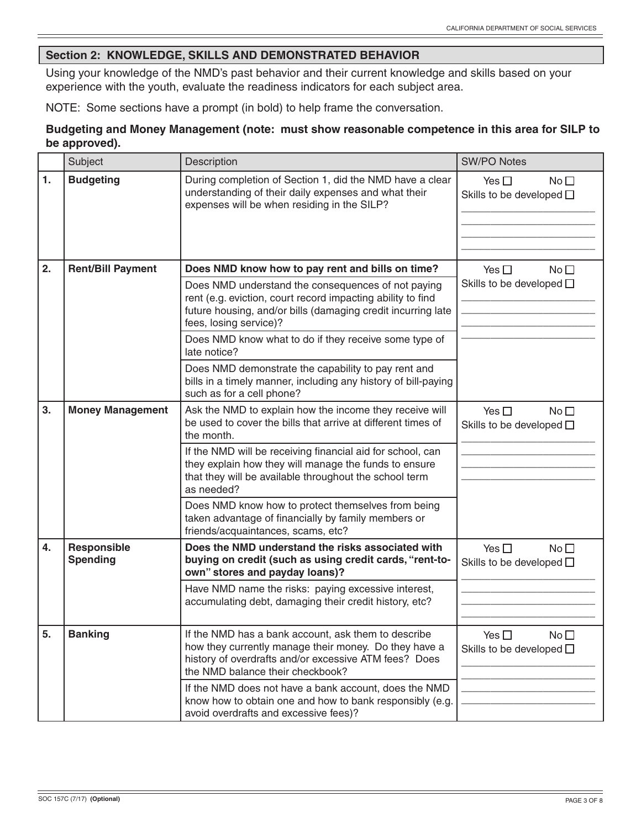## **Section 2: KNOWLEDGE, SKILLS AND DEMONSTRATED BEHAVIOR**

Using your knowledge of the NMD's past behavior and their current knowledge and skills based on your experience with the youth, evaluate the readiness indicators for each subject area.

NOTE: Some sections have a prompt (in bold) to help frame the conversation.

## **Budgeting and Money Management (note: must show reasonable competence in this area for SILP to be approved).**

|    | Subject                        | Description                                                                                                                                                                                                 | <b>SW/PO Notes</b>                                                   |
|----|--------------------------------|-------------------------------------------------------------------------------------------------------------------------------------------------------------------------------------------------------------|----------------------------------------------------------------------|
| 1. | <b>Budgeting</b>               | During completion of Section 1, did the NMD have a clear<br>understanding of their daily expenses and what their<br>expenses will be when residing in the SILP?                                             | Yes $\square$<br>No <sub>1</sub><br>Skills to be developed $\square$ |
| 2. | <b>Rent/Bill Payment</b>       | Does NMD know how to pay rent and bills on time?                                                                                                                                                            | Yes $\Box$<br>No <sub>1</sub>                                        |
|    |                                | Does NMD understand the consequences of not paying<br>rent (e.g. eviction, court record impacting ability to find<br>future housing, and/or bills (damaging credit incurring late<br>fees, losing service)? | Skills to be developed $\square$                                     |
|    |                                | Does NMD know what to do if they receive some type of<br>late notice?                                                                                                                                       |                                                                      |
|    |                                | Does NMD demonstrate the capability to pay rent and<br>bills in a timely manner, including any history of bill-paying<br>such as for a cell phone?                                                          |                                                                      |
| 3. | <b>Money Management</b>        | Ask the NMD to explain how the income they receive will<br>be used to cover the bills that arrive at different times of<br>the month.                                                                       | Yes $\Box$<br>No <sub>1</sub><br>Skills to be developed $\square$    |
|    |                                | If the NMD will be receiving financial aid for school, can<br>they explain how they will manage the funds to ensure<br>that they will be available throughout the school term<br>as needed?                 |                                                                      |
|    |                                | Does NMD know how to protect themselves from being<br>taken advantage of financially by family members or<br>friends/acquaintances, scams, etc?                                                             |                                                                      |
| 4. | Responsible<br><b>Spending</b> | Does the NMD understand the risks associated with<br>buying on credit (such as using credit cards, "rent-to-<br>own" stores and payday loans)?                                                              | Yes $\square$<br>No <sub>1</sub><br>Skills to be developed $\square$ |
|    |                                | Have NMD name the risks: paying excessive interest,<br>accumulating debt, damaging their credit history, etc?                                                                                               |                                                                      |
| 5. | <b>Banking</b>                 | If the NMD has a bank account, ask them to describe<br>how they currently manage their money. Do they have a<br>history of overdrafts and/or excessive ATM fees? Does<br>the NMD balance their checkbook?   | Yes $\square$<br>No <sub>1</sub><br>Skills to be developed $\square$ |
|    |                                | If the NMD does not have a bank account, does the NMD<br>know how to obtain one and how to bank responsibly (e.g.<br>avoid overdrafts and excessive fees)?                                                  |                                                                      |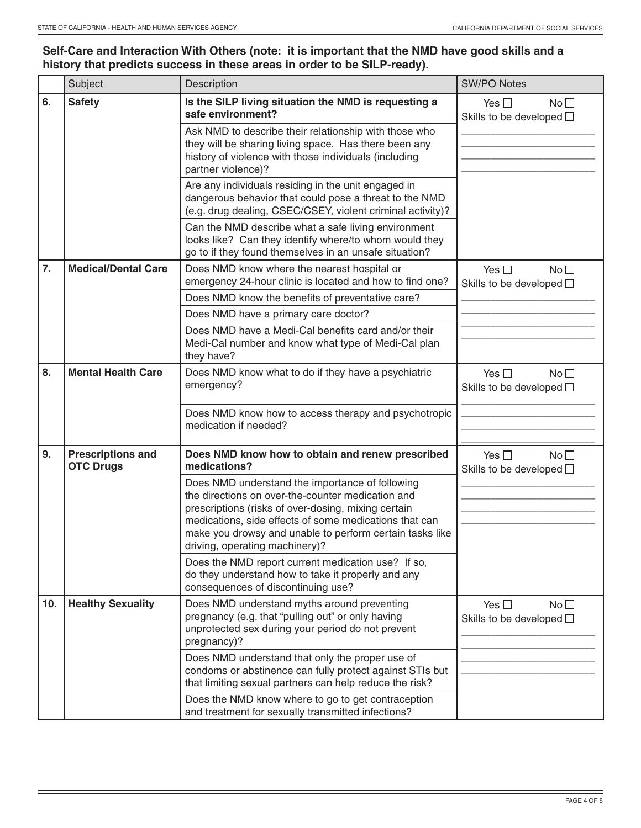#### **Self-Care and Interaction With Others (note: it is important that the NMD have good skills and a history that predicts success in these areas in order to be SILP-ready).**

|     | Subject                                      | Description                                                                                                                                                                                   | <b>SW/PO Notes</b>                                                   |  |
|-----|----------------------------------------------|-----------------------------------------------------------------------------------------------------------------------------------------------------------------------------------------------|----------------------------------------------------------------------|--|
| 6.  | <b>Safety</b>                                | Is the SILP living situation the NMD is requesting a<br>safe environment?                                                                                                                     | No <sub>1</sub><br>Yes $\square$<br>Skills to be developed $\square$ |  |
|     |                                              | Ask NMD to describe their relationship with those who<br>they will be sharing living space. Has there been any<br>history of violence with those individuals (including<br>partner violence)? |                                                                      |  |
|     |                                              | Are any individuals residing in the unit engaged in<br>dangerous behavior that could pose a threat to the NMD<br>(e.g. drug dealing, CSEC/CSEY, violent criminal activity)?                   |                                                                      |  |
|     |                                              | Can the NMD describe what a safe living environment<br>looks like? Can they identify where/to whom would they<br>go to if they found themselves in an unsafe situation?                       |                                                                      |  |
| 7.  | <b>Medical/Dental Care</b>                   | Does NMD know where the nearest hospital or<br>emergency 24-hour clinic is located and how to find one?                                                                                       | No <sub>1</sub><br>Yes $\square$<br>Skills to be developed $\square$ |  |
|     |                                              | Does NMD know the benefits of preventative care?                                                                                                                                              |                                                                      |  |
|     |                                              | Does NMD have a primary care doctor?                                                                                                                                                          |                                                                      |  |
|     |                                              | Does NMD have a Medi-Cal benefits card and/or their<br>Medi-Cal number and know what type of Medi-Cal plan<br>they have?                                                                      |                                                                      |  |
| 8.  | <b>Mental Health Care</b>                    | Does NMD know what to do if they have a psychiatric<br>emergency?                                                                                                                             | Yes $\square$<br>No <sub>1</sub><br>Skills to be developed $\square$ |  |
|     |                                              | Does NMD know how to access therapy and psychotropic<br>medication if needed?                                                                                                                 |                                                                      |  |
| 9.  | <b>Prescriptions and</b><br><b>OTC Drugs</b> | Does NMD know how to obtain and renew prescribed<br>medications?                                                                                                                              | Yes $\square$<br>No <sub>1</sub><br>Skills to be developed $\square$ |  |
|     |                                              | Does NMD understand the importance of following                                                                                                                                               |                                                                      |  |
|     |                                              | the directions on over-the-counter medication and<br>prescriptions (risks of over-dosing, mixing certain                                                                                      |                                                                      |  |
|     |                                              | medications, side effects of some medications that can<br>make you drowsy and unable to perform certain tasks like<br>driving, operating machinery)?                                          |                                                                      |  |
|     |                                              | Does the NMD report current medication use? If so,<br>do they understand how to take it properly and any<br>consequences of discontinuing use?                                                |                                                                      |  |
| 10. | <b>Healthy Sexuality</b>                     | Does NMD understand myths around preventing<br>pregnancy (e.g. that "pulling out" or only having<br>unprotected sex during your period do not prevent<br>pregnancy)?                          | Yes $\square$<br>No <sub>1</sub><br>Skills to be developed $\square$ |  |
|     |                                              | Does NMD understand that only the proper use of<br>condoms or abstinence can fully protect against STIs but<br>that limiting sexual partners can help reduce the risk?                        |                                                                      |  |
|     |                                              | Does the NMD know where to go to get contraception<br>and treatment for sexually transmitted infections?                                                                                      |                                                                      |  |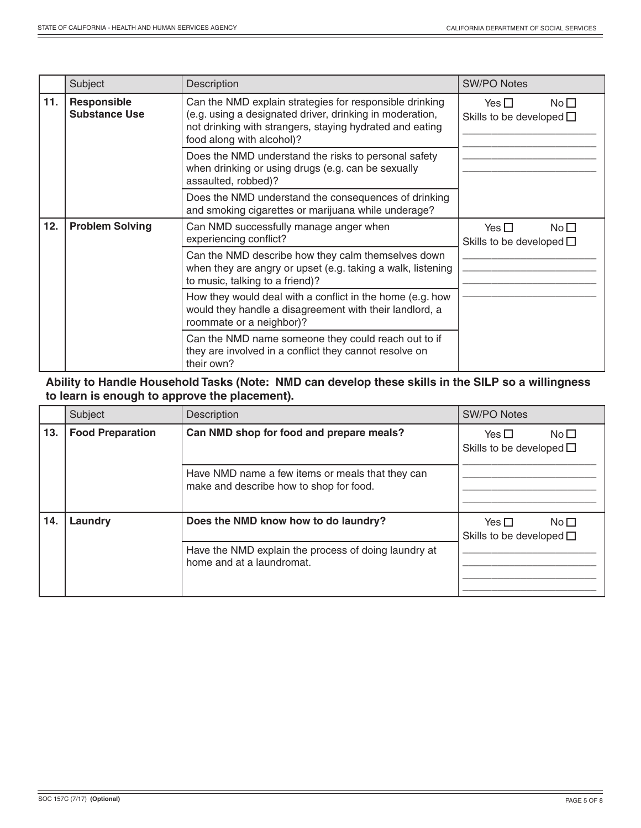|     | Subject                                    | Description                                                                                                                                                                                                  | <b>SW/PO Notes</b>                                                |
|-----|--------------------------------------------|--------------------------------------------------------------------------------------------------------------------------------------------------------------------------------------------------------------|-------------------------------------------------------------------|
| 11. | <b>Responsible</b><br><b>Substance Use</b> | Can the NMD explain strategies for responsible drinking<br>(e.g. using a designated driver, drinking in moderation,<br>not drinking with strangers, staying hydrated and eating<br>food along with alcohol)? | Yes $\Box$<br>No <sub>1</sub><br>Skills to be developed $\square$ |
|     |                                            | Does the NMD understand the risks to personal safety<br>when drinking or using drugs (e.g. can be sexually<br>assaulted, robbed)?                                                                            |                                                                   |
|     |                                            | Does the NMD understand the consequences of drinking<br>and smoking cigarettes or marijuana while underage?                                                                                                  |                                                                   |
| 12. | <b>Problem Solving</b>                     | Can NMD successfully manage anger when<br>experiencing conflict?                                                                                                                                             | $N \circ \Box$<br>Yes $\Box$<br>Skills to be developed $\square$  |
|     |                                            | Can the NMD describe how they calm themselves down<br>when they are angry or upset (e.g. taking a walk, listening<br>to music, talking to a friend)?                                                         |                                                                   |
|     |                                            | How they would deal with a conflict in the home (e.g. how<br>would they handle a disagreement with their landlord, a<br>roommate or a neighbor)?                                                             |                                                                   |
|     |                                            | Can the NMD name someone they could reach out to if<br>they are involved in a conflict they cannot resolve on<br>their own?                                                                                  |                                                                   |

## **Ability to Handle Household Tasks (Note: NMD can develop these skills in the SILP so a willingness to learn is enough to approve the placement).**

|     | Subject                 | Description                                                                                 | <b>SW/PO Notes</b>                                                   |
|-----|-------------------------|---------------------------------------------------------------------------------------------|----------------------------------------------------------------------|
| 13. | <b>Food Preparation</b> | Can NMD shop for food and prepare meals?                                                    | No <sub>1</sub><br>Yes $\square$<br>Skills to be developed $\square$ |
|     |                         | Have NMD name a few items or meals that they can<br>make and describe how to shop for food. |                                                                      |
| 14. | Laundry                 | Does the NMD know how to do laundry?                                                        | Yes $\Box$<br>$N_0$ $\Box$<br>Skills to be developed $\square$       |
|     |                         | Have the NMD explain the process of doing laundry at<br>home and at a laundromat.           |                                                                      |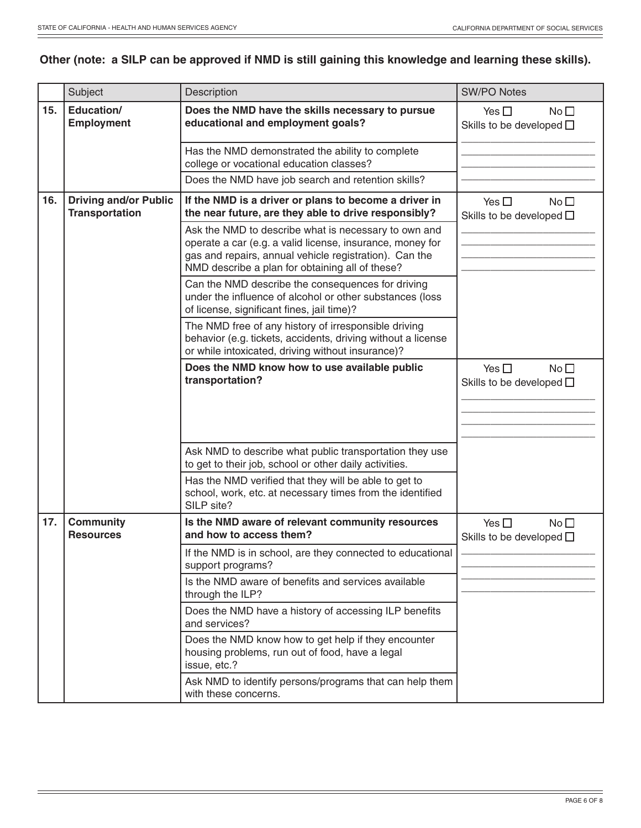# **Other (note: a SILP can be approved if NMD is still gaining this knowledge and learning these skills).**

|     | Subject                                               | Description                                                                                                                                                                                                                    | <b>SW/PO Notes</b>                                                   |
|-----|-------------------------------------------------------|--------------------------------------------------------------------------------------------------------------------------------------------------------------------------------------------------------------------------------|----------------------------------------------------------------------|
| 15. | Education/<br><b>Employment</b>                       | Does the NMD have the skills necessary to pursue<br>educational and employment goals?                                                                                                                                          | Yes $\square$<br>No <sub>1</sub><br>Skills to be developed $\square$ |
|     |                                                       | Has the NMD demonstrated the ability to complete<br>college or vocational education classes?                                                                                                                                   |                                                                      |
|     |                                                       | Does the NMD have job search and retention skills?                                                                                                                                                                             |                                                                      |
| 16. | <b>Driving and/or Public</b><br><b>Transportation</b> | If the NMD is a driver or plans to become a driver in<br>the near future, are they able to drive responsibly?                                                                                                                  | Yes $\square$<br>No <sub>1</sub><br>Skills to be developed $\square$ |
|     |                                                       | Ask the NMD to describe what is necessary to own and<br>operate a car (e.g. a valid license, insurance, money for<br>gas and repairs, annual vehicle registration). Can the<br>NMD describe a plan for obtaining all of these? |                                                                      |
|     |                                                       | Can the NMD describe the consequences for driving<br>under the influence of alcohol or other substances (loss<br>of license, significant fines, jail time)?                                                                    |                                                                      |
|     |                                                       | The NMD free of any history of irresponsible driving<br>behavior (e.g. tickets, accidents, driving without a license<br>or while intoxicated, driving without insurance)?                                                      |                                                                      |
|     |                                                       | Does the NMD know how to use available public<br>transportation?                                                                                                                                                               | Yes $\square$<br>No <sub>1</sub><br>Skills to be developed $\square$ |
|     |                                                       |                                                                                                                                                                                                                                |                                                                      |
|     |                                                       | Ask NMD to describe what public transportation they use<br>to get to their job, school or other daily activities.                                                                                                              |                                                                      |
|     |                                                       | Has the NMD verified that they will be able to get to<br>school, work, etc. at necessary times from the identified<br>SILP site?                                                                                               |                                                                      |
| 17. | <b>Community</b><br><b>Resources</b>                  | Is the NMD aware of relevant community resources<br>and how to access them?                                                                                                                                                    | Yes $\square$<br>No <sub>1</sub><br>Skills to be developed $\square$ |
|     |                                                       | If the NMD is in school, are they connected to educational<br>support programs?                                                                                                                                                |                                                                      |
|     |                                                       | Is the NMD aware of benefits and services available<br>through the ILP?                                                                                                                                                        |                                                                      |
|     |                                                       | Does the NMD have a history of accessing ILP benefits<br>and services?                                                                                                                                                         |                                                                      |
|     |                                                       | Does the NMD know how to get help if they encounter<br>housing problems, run out of food, have a legal<br>issue, etc.?                                                                                                         |                                                                      |
|     |                                                       | Ask NMD to identify persons/programs that can help them<br>with these concerns.                                                                                                                                                |                                                                      |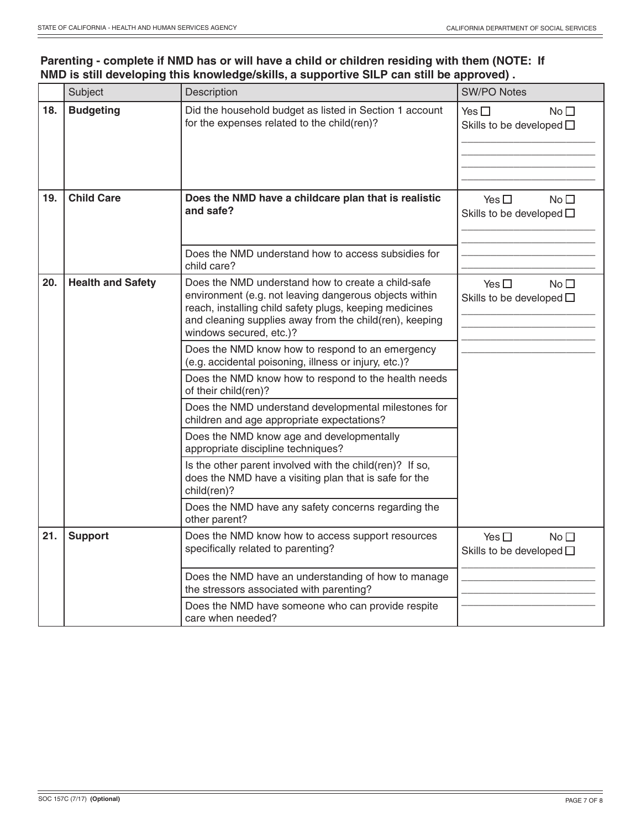## **Parenting - complete if NMD has or will have a child or children residing with them (NOTE: If NMD is still developing this knowledge/skills, a supportive SILP can still be approved) .**

|     | Subject                  | Description                                                                                                                                                                                                                                                   | <b>SW/PO Notes</b>                                                   |
|-----|--------------------------|---------------------------------------------------------------------------------------------------------------------------------------------------------------------------------------------------------------------------------------------------------------|----------------------------------------------------------------------|
| 18. | <b>Budgeting</b>         | Did the household budget as listed in Section 1 account<br>for the expenses related to the child(ren)?                                                                                                                                                        | Yes $\square$<br>No <sub>1</sub><br>Skills to be developed $\square$ |
| 19. | <b>Child Care</b>        | Does the NMD have a childcare plan that is realistic<br>and safe?                                                                                                                                                                                             | Yes $\square$<br>No <sub>1</sub><br>Skills to be developed $\square$ |
|     |                          | Does the NMD understand how to access subsidies for<br>child care?                                                                                                                                                                                            |                                                                      |
| 20. | <b>Health and Safety</b> | Does the NMD understand how to create a child-safe<br>environment (e.g. not leaving dangerous objects within<br>reach, installing child safety plugs, keeping medicines<br>and cleaning supplies away from the child(ren), keeping<br>windows secured, etc.)? | No <sup>T</sup><br>Yes $\square$<br>Skills to be developed $\square$ |
|     |                          | Does the NMD know how to respond to an emergency<br>(e.g. accidental poisoning, illness or injury, etc.)?                                                                                                                                                     |                                                                      |
|     |                          | Does the NMD know how to respond to the health needs<br>of their child(ren)?                                                                                                                                                                                  |                                                                      |
|     |                          | Does the NMD understand developmental milestones for<br>children and age appropriate expectations?                                                                                                                                                            |                                                                      |
|     |                          | Does the NMD know age and developmentally<br>appropriate discipline techniques?                                                                                                                                                                               |                                                                      |
|     |                          | Is the other parent involved with the child(ren)? If so,<br>does the NMD have a visiting plan that is safe for the<br>child(ren)?                                                                                                                             |                                                                      |
|     |                          | Does the NMD have any safety concerns regarding the<br>other parent?                                                                                                                                                                                          |                                                                      |
| 21. | <b>Support</b>           | Does the NMD know how to access support resources<br>specifically related to parenting?                                                                                                                                                                       | No <sub>1</sub><br>Yes $\square$<br>Skills to be developed $\square$ |
|     |                          | Does the NMD have an understanding of how to manage<br>the stressors associated with parenting?                                                                                                                                                               |                                                                      |
|     |                          | Does the NMD have someone who can provide respite<br>care when needed?                                                                                                                                                                                        |                                                                      |